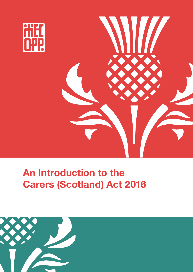

# **An Introduction to the Carers (Scotland) Act 2016**

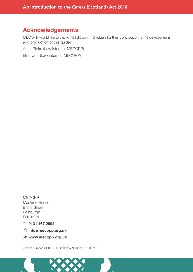### **Acknowledgements**

MECOPP would like to thank the following individuals for their contribution to the development and production of this guide:

Anna Ridka (Law intern at MECOPP)

Eliza Corr (Law intern at MECOPP)

MECOPP Maritime House 8 The Shore Edinburgh EH6 6QN

 $\circledR$  0131 467 2994

8 **[info@mecopp.org.uk](mailto:info@mecopp.org.uk)**

**[www.mecopp.org.uk](http://www.mecopp.org.uk)**

Charity Number: SC029700 Company Number: SC202715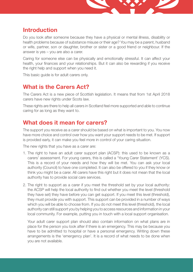

### **Introduction**

Do you look after someone because they have a physical or mental illness, disability or health problems because of substance misuse or their age? You may be a parent, husband or wife, partner, son or daughter, brother or sister or a good friend or neighbour. If the answer is yes – you are also a carer.

Caring for someone else can be physically and emotionally stressful. It can affect your health, your finances and your relationships. But it can also be rewarding if you receive the right help and support when you need it.

This basic guide is for adult carers only.

# **What is the Carers Act?**

The Carers Act is a new piece of Scottish legislation. It means that from 1st April 2018 carers have new rights under Scots law.

These rights are there to help all carers in Scotland feel more supported and able to continue caring for as long as they want to.

### **What does it mean for carers?**

The support you receive as a carer should be based on what is important to you. You now have more choice and control over how you want your support needs to be met. If support is provided early, it can make you feel more in control of your caring situation.

The new rights that you have as a carer are:

- 1. The right to have an adult carer support plan (ACSP): this used to be known as a carers' assessment. For young carers, this is called a 'Young Carer Statement' (YCS). This is a record of your needs and how they will be met. You can ask your local authority (Council) to have one completed. It can also be offered to you if they know or think you might be a carer. All carers have this right but it does not mean that the local authority has to provide social care services.
- 2. The right to support as a carer if you meet the threshold set by your local authority: the ACSP will help the local authority to find out whether you meet the level (threshold they have set) they have before you can get support. If you meet this level (threshold), they must provide you with support. This support can be provided in a number of ways which you will be able to choose from. If you do not meet this level (threshold), the local authority can still support you by helping you to access resources and information in your local community. For example, putting you in touch with a local support organisation.

Your adult carer support plan should also contain information on what plans are in place for the person you look after if there is an emergency. This may be because you have to be admitted to hospital or have a personal emergency. Writing down these arrangements is the 'emergency plan'. It is a record of what needs to be done when you are not available.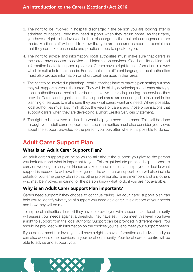- 3. The right to be involved in hospital discharge: If the person you are looking after is admitted to hospital, they may need support when they return home. As their carer, you have a right to be involved in their discharge so that suitable arrangements are made. Medical staff will need to know that you are the carer as soon as possible so that they can take reasonable and practical steps to speak to you.
- 4. The right to advice and information: local authorities must make sure that carers in their area have access to advice and information services. Good quality advice and information is vital to supporting carers. Carers have a right to get information in a way which is suitable to their needs. For example, in a different language. Local authorities must also provide information on short break services in their area.
- 5. The right to be involved in planning: Local authorities have to make a plan setting out how they will support carers in their area. They will do this by developing a local carer strategy. Local authorities and health boards must involve carers in planning the services they provide. Carers and organisations that support carers are encouraged to take part in the planning of services to make sure they are what carers want and need. Where possible, local authorities must also think about the views of carers and those organisations that support carers when they are developing a Short Breaks Services Statement.
- 6. The right to be involved in deciding what help you need as a carer: This will be done through your adult carer support plan. Local authorities must also consider your views about the support provided to the person you look after where it is possible to do so.

# **Adult Carer Support Plan**

### **What is an Adult Carer Support Plan?**

An adult carer support plan helps you to talk about the support you give to the person you look after and what is important to you. This might include practical help, support to carry on working, to see your friends or take up new interests. It helps you to decide what support is needed to achieve these goals. The adult carer support plan will also include details of your emergency plan so that other professionals, family members and any others who may be involved in caring for the person know what to do if you are not available.

### **Why is an Adult Carer Support Plan important?**

Carers need support if they choose to continue caring. An adult carer support plan can help you to identify what type of support you need as a carer. It is a record of your needs and how they will be met.

To help local authorities decide if they have to provide you with support, each local authority will assess your needs against a threshold they have set. If you meet this level, you have a right to support from the local authority. Support can be provided in different ways. You should be provided with information on the choices you have to meet your support needs.

If you do not meet this level, you still have a right to have information and advice and you can also access other services in your local community. Your local carers' centre will be able to advise and support you.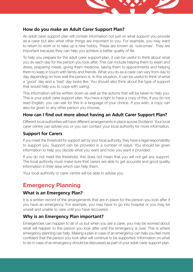

### **How do you make an Adult Carer Support Plan?**

An adult carer support plan will contain information not just on what support you provide as a carer but also what other things are important to you. For example, you may want to return to work or to take up a new hobby. These are known as 'outcomes'. They are important because they can help you achieve a better quality of life.

To help you prepare for the adult carer support plan, it can be useful to think about what you do each day for the person you look after. This can include helping them to wash and dress, preparing meals, giving them medicine, taking them to appointments and helping them to keep in touch with family and friends. What you do as a carer can vary from day to day depending on how well the person is. In this situation, it can be useful to think of what a 'good' day and a 'bad' day looks like. You should also think about the type of support that would help you to cope with caring.

This information will be written down as well as the actions that will be taken to help you. This is your adult carer support plan. You have a right to have a copy of this. If you do not read English, you can ask for this in a language of your choice. If you wish, a copy can also be given to any other person you choose.

### **How can I find out more about having an Adult Carer Support Plan?**

Different local authorities will have different arrangements in place across Scotland. Your local carer centre can advise you or you can contact your local authority for more information.

### **Support for Carers**

If you meet the threshold for support set by your local authority, they have a legal responsibility to support you. Support can be provided in a number of ways. You should be given information to help you decide what you want and how you want it provided.

If you do not meet the threshold, this does not mean that you will not get any support. The local authority must make sure that carers are able to get accurate and good quality information in their area which can help them.

Your local authority or carer centre will be able to advise you.

# **Emergency Planning**

### **What is an Emergency Plan?**

It is a written record of the arrangements that are in place for the person you look after if you have an emergency. For example, you may have to go into hospital or you may be unwell and unable to care until you have recovered.

### **Why is an Emergency Plan important?**

Emergencies can happen to all of us but when you are a carer, you may be worried about what will happen to the person you look after until the emergency is over. This is where emergency planning can help. Making a plan in case of an emergency can help you feel more confident that the person you look after will continue to be supported. Information on what to do in case of an emergency should be discussed as part of your adult carer support plan.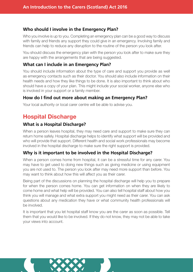### **Who should I involve in the Emergency Plan?**

Who you involve is up to you. Completing an emergency plan can be a good way to discuss with family and friends any support they could give in an emergency. Involving family and friends can help to reduce any disruption to the routine of the person you look after.

You should discuss the emergency plan with the person you look after to make sure they are happy with the arrangements that are being suggested.

### **What can I include in an Emergency Plan?**

You should include information about the type of care and support you provide as well as emergency contacts such as their doctor. You should also include information on their health needs and how they like things to be done. It is also important to think about who should have a copy of your plan. This might include your social worker, anyone else who is involved in your support or a family member.

### **How do I find out more about making an Emergency Plan?**

Your local authority or local carer centre will be able to advise you.

# **Hospital Discharge**

### **What is a Hospital Discharge?**

When a person leaves hospital, they may need care and support to make sure they can return home safely. Hospital discharge helps to identify what support will be provided and who will provide that support. Different health and social work professionals may become involved in the hospital discharge to make sure the right support is provided.

### **Why is it important to be involved in the Hospital Discharge?**

When a person comes home from hospital, it can be a stressful time for any carer. You may have to get used to doing new things such as giving medicine or using equipment you are not used to. The person you look after may need more support than before. You may want to think about how this will affect you as their carer.

Being part of the discussions on planning the hospital discharge will help you to prepare for when the person comes home. You can get information on when they are likely to come home and what help will be provided. You can also tell hospital staff about how you think you will manage and what extra support you might need as their carer. You can ask questions about any medication they have or what community health professionals will be involved.

It is important that you let hospital staff know you are the carer as soon as possible. Tell them that you would like to be involved. If they do not know, they may not be able to take your views into account.

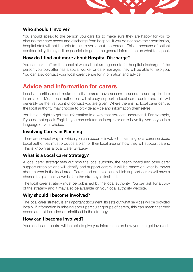

### **Who should I involve?**

You should speak to the person you care for to make sure they are happy for you to discuss their care needs and discharge from hospital. If you do not have their permission, hospital staff will not be able to talk to you about the person. This is because of patient confidentiality. It may still be possible to get some general information on what to expect.

### **How do I find out more about Hospital Discharge?**

You can ask staff on the hospital ward about arrangements for hospital discharge. If the person you look after has a social worker or care manager, they will be able to help you. You can also contact your local carer centre for information and advice.

# **Advice and Information for carers**

Local authorities must make sure that carers have access to accurate and up to date information. Most local authorities will already support a local carer centre and this will generally be the first point of contact you are given. Where there is no local carer centre, the local authority may choose to provide advice and information themselves.

You have a right to get this information in a way that you can understand. For example, if you do not speak English, you can ask for an interpreter or to have it given to you in a language of your choice.

### **Involving Carers in Planning**

There are several ways in which you can become involved in planning local carer services. Local authorities must produce a plan for their local area on how they will support carers. This is known as a local Carer Strategy.

### **What is a Local Carer Strategy?**

A local carer strategy sets out how the local authority, the health board and other carer support organisations will identify and support carers. It will be based on what is known about carers in the local area. Carers and organisations which support carers will have a chance to give their views before the strategy is finalised.

The local carer strategy must be published by the local authority. You can ask for a copy of the strategy and it may also be available on your local authority website.

### **Why should I become involved?**

The local carer strategy is an important document. Its sets out what services will be provided locally. If information is missing about particular groups of carers, this can mean that their needs are not included or prioritised in the strategy.

### **How can I become involved?**

Your local carer centre will be able to give you information on how you can get involved.